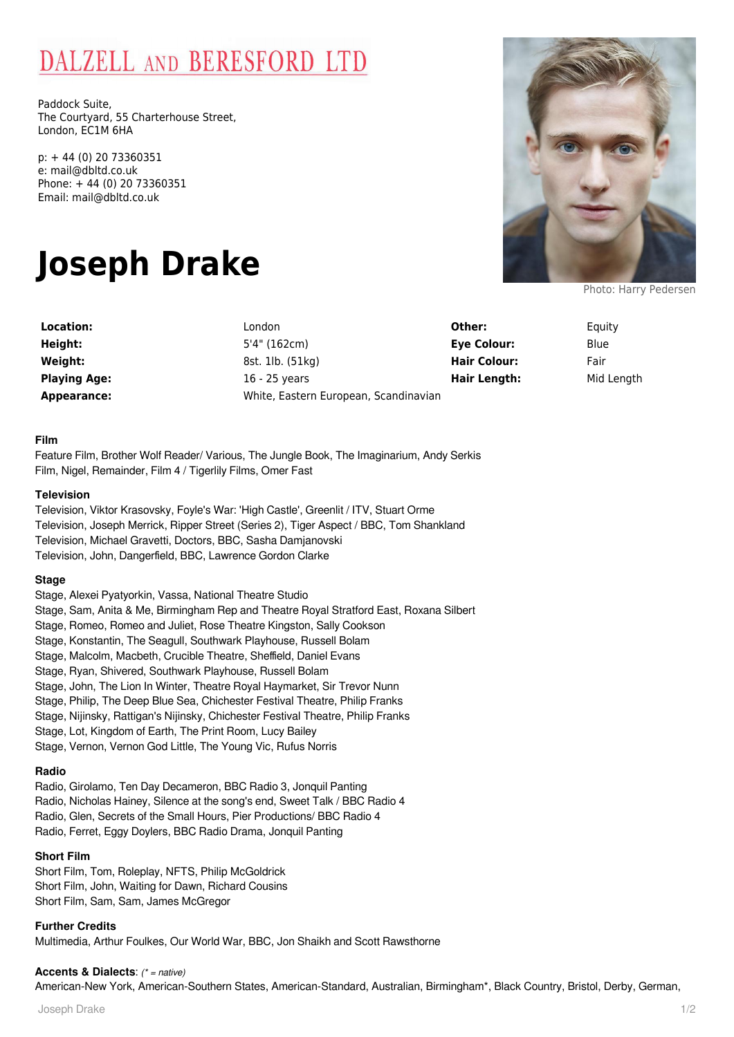# DALZELL AND BERESFORD LTD

Paddock Suite, The Courtyard, 55 Charterhouse Street, London, EC1M 6HA

p: + 44 (0) 20 73360351 e: mail@dbltd.co.uk Phone: + 44 (0) 20 73360351 Email: mail@dbltd.co.uk

# **Joseph Drake**

**Location:** London **Height:** 5'4" (162cm) **Playing Age:** 16 - 25 years

**Weight:** 8st. 1lb. (51kg) **Appearance:** White, Eastern European, Scandinavian

**Other:** Equity **Eye Colour:** Blue **Hair Colour:** Fair **Hair Length:** Mid Length

#### **Film**

Feature Film, Brother Wolf Reader/ Various, The Jungle Book, The Imaginarium, Andy Serkis Film, Nigel, Remainder, Film 4 / Tigerlily Films, Omer Fast

#### **Television**

Television, Viktor Krasovsky, Foyle's War: 'High Castle', Greenlit / ITV, Stuart Orme Television, Joseph Merrick, Ripper Street (Series 2), Tiger Aspect / BBC, Tom Shankland Television, Michael Gravetti, Doctors, BBC, Sasha Damjanovski Television, John, Dangerfield, BBC, Lawrence Gordon Clarke

#### **Stage**

Stage, Alexei Pyatyorkin, Vassa, National Theatre Studio Stage, Sam, Anita & Me, Birmingham Rep and Theatre Royal Stratford East, Roxana Silbert Stage, Romeo, Romeo and Juliet, Rose Theatre Kingston, Sally Cookson Stage, Konstantin, The Seagull, Southwark Playhouse, Russell Bolam Stage, Malcolm, Macbeth, Crucible Theatre, Sheffield, Daniel Evans Stage, Ryan, Shivered, Southwark Playhouse, Russell Bolam Stage, John, The Lion In Winter, Theatre Royal Haymarket, Sir Trevor Nunn Stage, Philip, The Deep Blue Sea, Chichester Festival Theatre, Philip Franks Stage, Nijinsky, Rattigan's Nijinsky, Chichester Festival Theatre, Philip Franks Stage, Lot, Kingdom of Earth, The Print Room, Lucy Bailey Stage, Vernon, Vernon God Little, The Young Vic, Rufus Norris

# **Radio**

Radio, Girolamo, Ten Day Decameron, BBC Radio 3, Jonquil Panting Radio, Nicholas Hainey, Silence at the song's end, Sweet Talk / BBC Radio 4 Radio, Glen, Secrets of the Small Hours, Pier Productions/ BBC Radio 4 Radio, Ferret, Eggy Doylers, BBC Radio Drama, Jonquil Panting

# **Short Film**

Short Film, Tom, Roleplay, NFTS, Philip McGoldrick Short Film, John, Waiting for Dawn, Richard Cousins Short Film, Sam, Sam, James McGregor

# **Further Credits**

Multimedia, Arthur Foulkes, Our World War, BBC, Jon Shaikh and Scott Rawsthorne

# **Accents & Dialects**: (\* = native)

American-New York, American-Southern States, American-Standard, Australian, Birmingham\*, Black Country, Bristol, Derby, German,